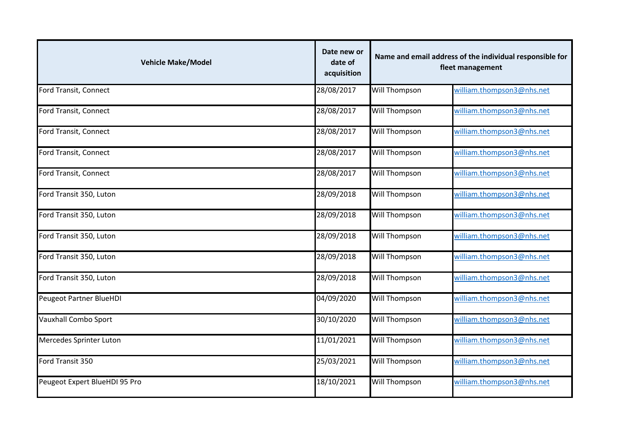| <b>Vehicle Make/Model</b>      | Date new or<br>date of<br>acquisition | Name and email address of the individual responsible for<br>fleet management |                           |
|--------------------------------|---------------------------------------|------------------------------------------------------------------------------|---------------------------|
| Ford Transit, Connect          | 28/08/2017                            | Will Thompson                                                                | william.thompson3@nhs.net |
| Ford Transit, Connect          | 28/08/2017                            | Will Thompson                                                                | william.thompson3@nhs.net |
| Ford Transit, Connect          | 28/08/2017                            | Will Thompson                                                                | william.thompson3@nhs.net |
| Ford Transit, Connect          | 28/08/2017                            | Will Thompson                                                                | william.thompson3@nhs.net |
| Ford Transit, Connect          | 28/08/2017                            | Will Thompson                                                                | william.thompson3@nhs.net |
| Ford Transit 350, Luton        | 28/09/2018                            | Will Thompson                                                                | william.thompson3@nhs.net |
| Ford Transit 350, Luton        | 28/09/2018                            | Will Thompson                                                                | william.thompson3@nhs.net |
| Ford Transit 350, Luton        | 28/09/2018                            | Will Thompson                                                                | william.thompson3@nhs.net |
| Ford Transit 350, Luton        | 28/09/2018                            | Will Thompson                                                                | william.thompson3@nhs.net |
| Ford Transit 350, Luton        | 28/09/2018                            | Will Thompson                                                                | william.thompson3@nhs.net |
| <b>Peugeot Partner BlueHDI</b> | 04/09/2020                            | Will Thompson                                                                | william.thompson3@nhs.net |
| Vauxhall Combo Sport           | 30/10/2020                            | Will Thompson                                                                | william.thompson3@nhs.net |
| Mercedes Sprinter Luton        | 11/01/2021                            | Will Thompson                                                                | william.thompson3@nhs.net |
| Ford Transit 350               | 25/03/2021                            | Will Thompson                                                                | william.thompson3@nhs.net |
| Peugeot Expert BlueHDI 95 Pro  | 18/10/2021                            | Will Thompson                                                                | william.thompson3@nhs.net |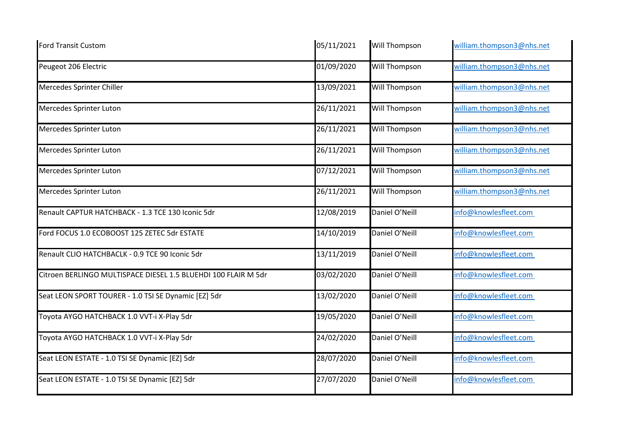| <b>Ford Transit Custom</b>                                     | 05/11/2021 | Will Thompson  | william.thompson3@nhs.net |
|----------------------------------------------------------------|------------|----------------|---------------------------|
| Peugeot 206 Electric                                           | 01/09/2020 | Will Thompson  | william.thompson3@nhs.net |
| Mercedes Sprinter Chiller                                      | 13/09/2021 | Will Thompson  | william.thompson3@nhs.net |
| Mercedes Sprinter Luton                                        | 26/11/2021 | Will Thompson  | william.thompson3@nhs.net |
| Mercedes Sprinter Luton                                        | 26/11/2021 | Will Thompson  | william.thompson3@nhs.net |
| Mercedes Sprinter Luton                                        | 26/11/2021 | Will Thompson  | william.thompson3@nhs.net |
| Mercedes Sprinter Luton                                        | 07/12/2021 | Will Thompson  | william.thompson3@nhs.net |
| Mercedes Sprinter Luton                                        | 26/11/2021 | Will Thompson  | william.thompson3@nhs.net |
| Renault CAPTUR HATCHBACK - 1.3 TCE 130 Iconic 5dr              | 12/08/2019 | Daniel O'Neill | info@knowlesfleet.com     |
| Ford FOCUS 1.0 ECOBOOST 125 ZETEC 5dr ESTATE                   | 14/10/2019 | Daniel O'Neill | info@knowlesfleet.com     |
| Renault CLIO HATCHBACLK - 0.9 TCE 90 Iconic 5dr                | 13/11/2019 | Daniel O'Neill | info@knowlesfleet.com     |
| Citroen BERLINGO MULTISPACE DIESEL 1.5 BLUEHDI 100 FLAIR M 5dr | 03/02/2020 | Daniel O'Neill | info@knowlesfleet.com     |
| Seat LEON SPORT TOURER - 1.0 TSI SE Dynamic [EZ] 5dr           | 13/02/2020 | Daniel O'Neill | info@knowlesfleet.com     |
| Toyota AYGO HATCHBACK 1.0 VVT-i X-Play 5dr                     | 19/05/2020 | Daniel O'Neill | info@knowlesfleet.com     |
| Toyota AYGO HATCHBACK 1.0 VVT-i X-Play 5dr                     | 24/02/2020 | Daniel O'Neill | info@knowlesfleet.com     |
| Seat LEON ESTATE - 1.0 TSI SE Dynamic [EZ] 5dr                 | 28/07/2020 | Daniel O'Neill | info@knowlesfleet.com     |
| Seat LEON ESTATE - 1.0 TSI SE Dynamic [EZ] 5dr                 | 27/07/2020 | Daniel O'Neill | info@knowlesfleet.com     |